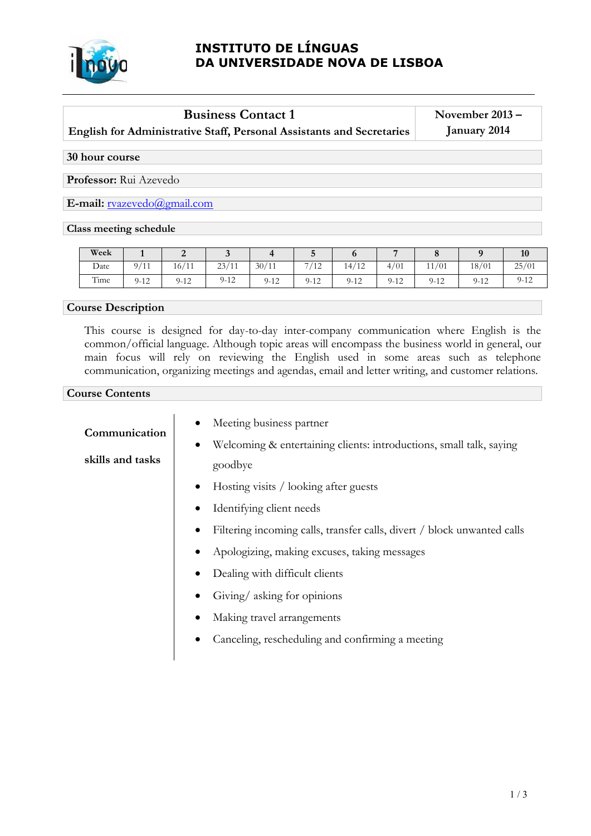

# **INSTITUTO DE LÍNGUAS DA UNIVERSIDADE NOVA DE LISBOA**

## **Business Contact 1**

**English for Administrative Staff, Personal Assistants and Secretaries** 

**November 2013 – January 2014**

### **30 hour course**

**Professor:** Rui Azevedo

**E-mail:** [rvazevedo@gmail.com](mailto:rvazevedo@gmail.com)

#### **Class meeting schedule**

| Week |                                                 | ∼                        | ີ        |          |                    |          | −                     |          |        | 10       |
|------|-------------------------------------------------|--------------------------|----------|----------|--------------------|----------|-----------------------|----------|--------|----------|
| Date | 9/<br>$^{\prime}$ 4 $^{\prime}$<br>$\mathbf{r}$ | $\sqrt{4}$<br>16/<br>-11 | 23/11    | 30/11    | -<br>$^{\prime}12$ | 14/12    | /01<br>4 <sub>1</sub> | 11/01    | 18/01  | 25/01    |
| Time | $9 - 12$                                        | $9 - 12$                 | $9 - 12$ | $9 - 12$ | $9-12$             | $9 - 12$ | $9 - 12$              | $9 - 12$ | $9-12$ | $9 - 12$ |

#### **Course Description**

This course is designed for day-to-day inter-company communication where English is the common/official language. Although topic areas will encompass the business world in general, our main focus will rely on reviewing the English used in some areas such as telephone communication, organizing meetings and agendas, email and letter writing, and customer relations.

#### **Course Contents**

| Communication    | Meeting business partner                                                |  |  |  |  |  |
|------------------|-------------------------------------------------------------------------|--|--|--|--|--|
|                  | Welcoming & entertaining clients: introductions, small talk, saying     |  |  |  |  |  |
| skills and tasks | goodbye                                                                 |  |  |  |  |  |
|                  | Hosting visits / looking after guests<br>$\bullet$                      |  |  |  |  |  |
|                  | Identifying client needs                                                |  |  |  |  |  |
|                  | Filtering incoming calls, transfer calls, divert / block unwanted calls |  |  |  |  |  |
|                  | Apologizing, making excuses, taking messages                            |  |  |  |  |  |
|                  | Dealing with difficult clients                                          |  |  |  |  |  |
|                  | Giving/asking for opinions                                              |  |  |  |  |  |
|                  | Making travel arrangements                                              |  |  |  |  |  |
|                  | Canceling, rescheduling and confirming a meeting                        |  |  |  |  |  |
|                  |                                                                         |  |  |  |  |  |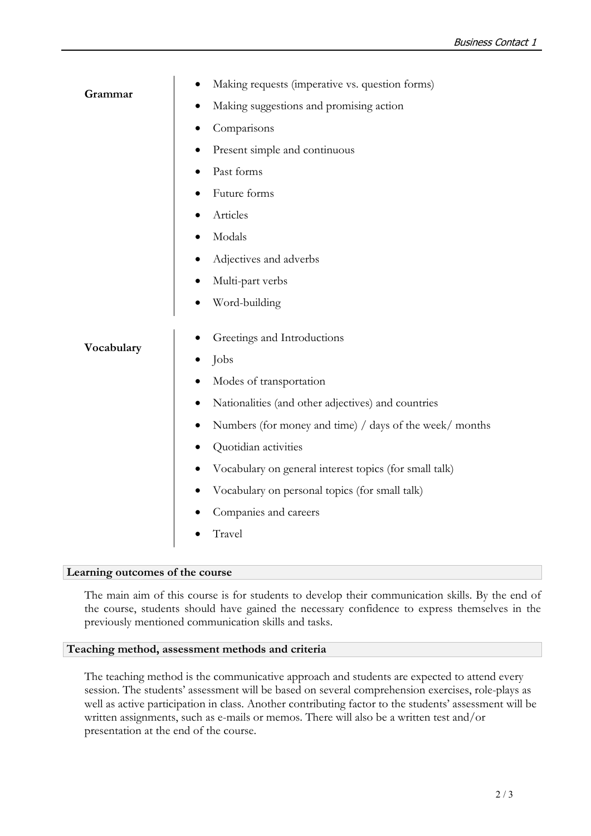|            | Making requests (imperative vs. question forms)<br>$\bullet$ |  |  |  |  |  |
|------------|--------------------------------------------------------------|--|--|--|--|--|
| Grammar    | Making suggestions and promising action                      |  |  |  |  |  |
|            | Comparisons                                                  |  |  |  |  |  |
|            | Present simple and continuous<br>$\bullet$                   |  |  |  |  |  |
|            | Past forms                                                   |  |  |  |  |  |
|            | Future forms                                                 |  |  |  |  |  |
|            | Articles                                                     |  |  |  |  |  |
|            | Modals                                                       |  |  |  |  |  |
|            | Adjectives and adverbs                                       |  |  |  |  |  |
|            | Multi-part verbs                                             |  |  |  |  |  |
|            | Word-building                                                |  |  |  |  |  |
|            | Greetings and Introductions                                  |  |  |  |  |  |
| Vocabulary | Jobs<br>$\bullet$                                            |  |  |  |  |  |
|            | Modes of transportation                                      |  |  |  |  |  |
|            | Nationalities (and other adjectives) and countries           |  |  |  |  |  |
|            | Numbers (for money and time) / days of the week/ months<br>٠ |  |  |  |  |  |
|            | Quotidian activities                                         |  |  |  |  |  |
|            | Vocabulary on general interest topics (for small talk)       |  |  |  |  |  |
|            | Vocabulary on personal topics (for small talk)               |  |  |  |  |  |
|            | Companies and careers                                        |  |  |  |  |  |
|            | Travel                                                       |  |  |  |  |  |

#### **Learning outcomes of the course**

The main aim of this course is for students to develop their communication skills. By the end of the course, students should have gained the necessary confidence to express themselves in the previously mentioned communication skills and tasks.

#### **Teaching method, assessment methods and criteria**

The teaching method is the communicative approach and students are expected to attend every session. The students' assessment will be based on several comprehension exercises, role-plays as well as active participation in class. Another contributing factor to the students' assessment will be written assignments, such as e-mails or memos. There will also be a written test and/or presentation at the end of the course.